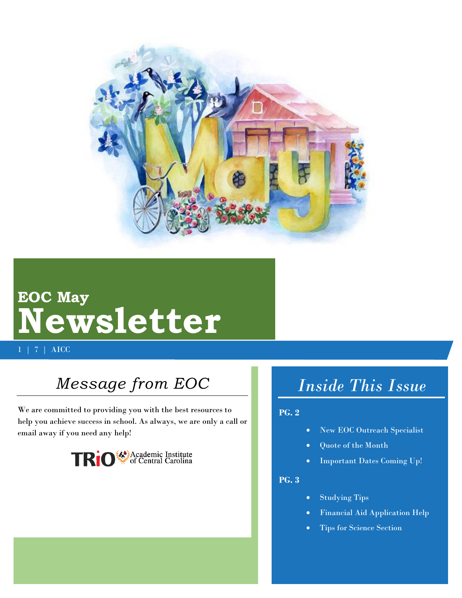

# **EOC May Newsletter**

1 | 7 | AICC

## *Message from EOC*

We are committed to providing you with the best resources to help you achieve success in school. As always, we are only a call or email away if you need any help!



# *Inside This Issue*

#### **PG. 2**

- New EOC Outreach Specialist
- Quote of the Month
- Important Dates Coming Up!

#### **PG. 3**

- Studying Tips
- Financial Aid Application Help
- Tips for Science Section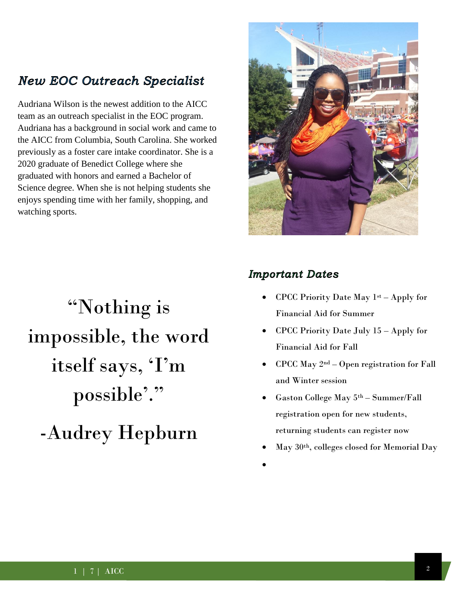### **New EOC Outreach Specialist**

Audriana Wilson is the newest addition to the AICC team as an outreach specialist in the EOC program. Audriana has a background in social work and came to the AICC from Columbia, South Carolina. She worked previously as a foster care intake coordinator. She is a 2020 graduate of Benedict College where she graduated with honors and earned a Bachelor of Science degree. When she is not helping students she enjoys spending time with her family, shopping, and watching sports.

# "Nothing is impossible, the word itself says, 'I'm possible'."

-Audrey Hepburn



### **Important Dates**

- CPCC Priority Date May 1st Apply for Financial Aid for Summer
- CPCC Priority Date July 15 Apply for Financial Aid for Fall
- CPCC May 2nd Open registration for Fall and Winter session
- Gaston College May 5th Summer/Fall registration open for new students, returning students can register now
- May 30th, colleges closed for Memorial Day
- $\bullet$